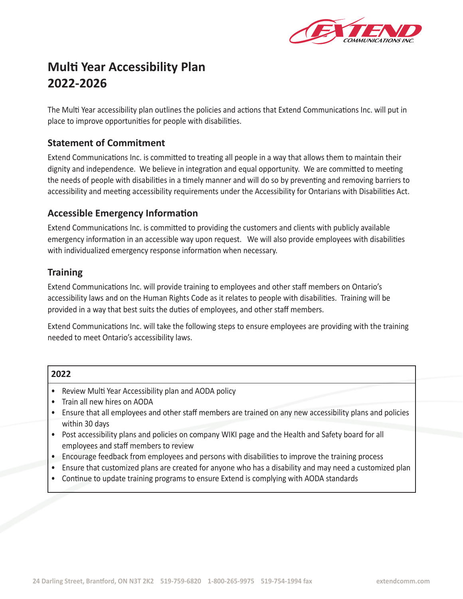

# **Multi Year Accessibility Plan 2022-2026**

The Multi Year accessibility plan outlines the policies and actions that Extend Communications Inc. will put in place to improve opportunities for people with disabilities.

# **Statement of Commitment**

Extend Communications Inc. is committed to treating all people in a way that allows them to maintain their dignity and independence. We believe in integration and equal opportunity. We are committed to meeting the needs of people with disabilities in a timely manner and will do so by preventing and removing barriers to accessibility and meeting accessibility requirements under the Accessibility for Ontarians with Disabilities Act.

# **Accessible Emergency Information**

Extend Communications Inc. is committed to providing the customers and clients with publicly available emergency information in an accessible way upon request. We will also provide employees with disabilities with individualized emergency response information when necessary.

# **Training**

Extend Communications Inc. will provide training to employees and other staff members on Ontario's accessibility laws and on the Human Rights Code as it relates to people with disabilities. Training will be provided in a way that best suits the duties of employees, and other staff members.

Extend Communications Inc. will take the following steps to ensure employees are providing with the training needed to meet Ontario's accessibility laws.

| 2022 |                                                                                                                                             |
|------|---------------------------------------------------------------------------------------------------------------------------------------------|
|      | Review Multi Year Accessibility plan and AODA policy                                                                                        |
|      | Train all new hires on AODA                                                                                                                 |
|      | Ensure that all employees and other staff members are trained on any new accessibility plans and policies                                   |
|      | within 30 days                                                                                                                              |
|      | Post accessibility plans and policies on company WIKI page and the Health and Safety board for all<br>employees and staff members to review |
|      | Encourage feedback from employees and persons with disabilities to improve the training process                                             |
|      | Ensure that customized plans are created for anyone who has a disability and may need a customized plan                                     |
|      | Continue to update training programs to ensure Extend is complying with AODA standards                                                      |
|      |                                                                                                                                             |
|      |                                                                                                                                             |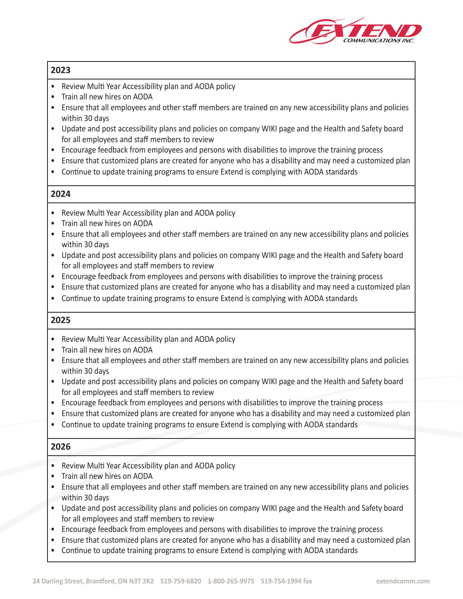

- Review Multi Year Accessibility plan and AODA policy
- Train all new hires on AODA
- Ensure that all employees and other staff members are trained on any new accessibility plans and policies within 30 days
- Update and post accessibility plans and policies on company WIKI page and the Health and Safety board for all employees and staff members to review
- Encourage feedback from employees and persons with disabilities to improve the training process
- Ensure that customized plans are created for anyone who has a disability and may need a customized plan
- Continue to update training programs to ensure Extend is complying with AODA standards

#### **2024**

- Review Multi Year Accessibility plan and AODA policy
- Train all new hires on AODA
- Ensure that all employees and other staff members are trained on any new accessibility plans and policies within 30 days
- Update and post accessibility plans and policies on company WIKI page and the Health and Safety board for all employees and staff members to review
- Encourage feedback from employees and persons with disabilities to improve the training process
- Ensure that customized plans are created for anyone who has a disability and may need a customized plan
- Continue to update training programs to ensure Extend is complying with AODA standards

#### **2025**

- Review Multi Year Accessibility plan and AODA policy
- Train all new hires on AODA
- Ensure that all employees and other staff members are trained on any new accessibility plans and policies within 30 days
- Update and post accessibility plans and policies on company WIKI page and the Health and Safety board for all employees and staff members to review
- Encourage feedback from employees and persons with disabilities to improve the training process
- Ensure that customized plans are created for anyone who has a disability and may need a customized plan
- Continue to update training programs to ensure Extend is complying with AODA standards

- Review Multi Year Accessibility plan and AODA policy
- Train all new hires on AODA
- Ensure that all employees and other staff members are trained on any new accessibility plans and policies within 30 days
- Update and post accessibility plans and policies on company WIKI page and the Health and Safety board for all employees and staff members to review
- Encourage feedback from employees and persons with disabilities to improve the training process
- Ensure that customized plans are created for anyone who has a disability and may need a customized plan
- Continue to update training programs to ensure Extend is complying with AODA standards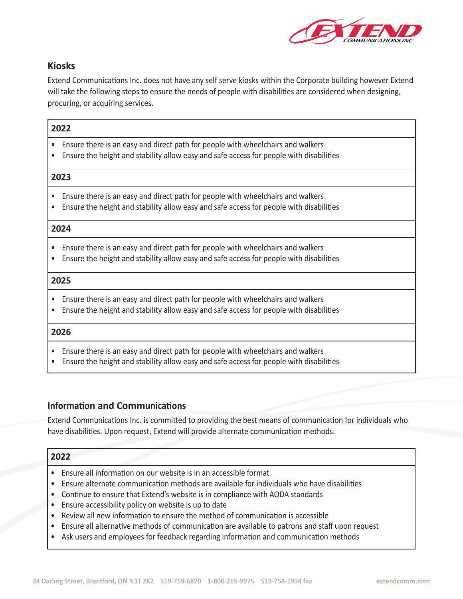

# **Kiosks**

Extend Communications Inc. does not have any self serve kiosks within the Corporate building however Extend will take the following steps to ensure the needs of people with disabilities are considered when designing, procuring, or acquiring services.

#### **2022**

- Ensure there is an easy and direct path for people with wheelchairs and walkers
- Ensure the height and stability allow easy and safe access for people with disabilities

#### **2023**

- Ensure there is an easy and direct path for people with wheelchairs and walkers
- Ensure the height and stability allow easy and safe access for people with disabilities

## **2024**

- Ensure there is an easy and direct path for people with wheelchairs and walkers
- Ensure the height and stability allow easy and safe access for people with disabilities

#### **2025**

- Ensure there is an easy and direct path for people with wheelchairs and walkers
- Ensure the height and stability allow easy and safe access for people with disabilities

#### **2026**

- Ensure there is an easy and direct path for people with wheelchairs and walkers
- Ensure the height and stability allow easy and safe access for people with disabilities

# **Information and Communications**

Extend Communications Inc. is committed to providing the best means of communication for individuals who have disabilities. Upon request, Extend will provide alternate communication methods.

- Ensure all information on our website is in an accessible format
- Ensure alternate communication methods are available for individuals who have disabilities
- Continue to ensure that Extend's website is in compliance with AODA standards
- Ensure accessibility policy on website is up to date
- Review all new information to ensure the method of communication is accessible
- Ensure all alternative methods of communication are available to patrons and staff upon request
- Ask users and employees for feedback regarding information and communication methods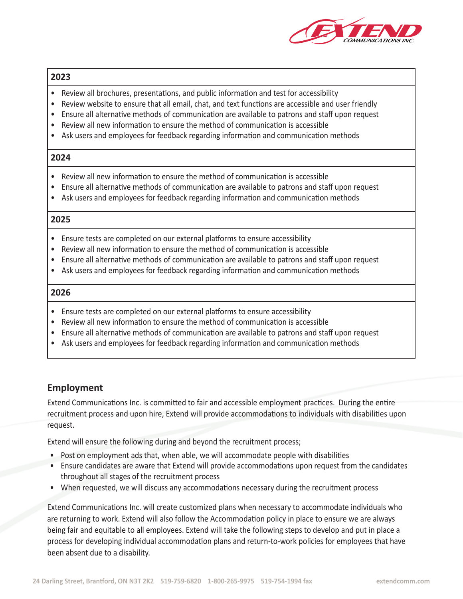

- Review all brochures, presentations, and public information and test for accessibility
- Review website to ensure that all email, chat, and text functions are accessible and user friendly
- Ensure all alternative methods of communication are available to patrons and staff upon request
- Review all new information to ensure the method of communication is accessible
- Ask users and employees for feedback regarding information and communication methods

#### **2024**

- Review all new information to ensure the method of communication is accessible
- Ensure all alternative methods of communication are available to patrons and staff upon request
- Ask users and employees for feedback regarding information and communication methods

#### **2025**

- Ensure tests are completed on our external platforms to ensure accessibility
- Review all new information to ensure the method of communication is accessible
- Ensure all alternative methods of communication are available to patrons and staff upon request
- Ask users and employees for feedback regarding information and communication methods

#### **2026**

- Ensure tests are completed on our external platforms to ensure accessibility
- Review all new information to ensure the method of communication is accessible
- Ensure all alternative methods of communication are available to patrons and staff upon request
- Ask users and employees for feedback regarding information and communication methods

# **Employment**

Extend Communications Inc. is committed to fair and accessible employment practices. During the entire recruitment process and upon hire, Extend will provide accommodations to individuals with disabilities upon request.

Extend will ensure the following during and beyond the recruitment process;

- Post on employment ads that, when able, we will accommodate people with disabilities
- Ensure candidates are aware that Extend will provide accommodations upon request from the candidates throughout all stages of the recruitment process
- When requested, we will discuss any accommodations necessary during the recruitment process

Extend Communications Inc. will create customized plans when necessary to accommodate individuals who are returning to work. Extend will also follow the Accommodation policy in place to ensure we are always being fair and equitable to all employees. Extend will take the following steps to develop and put in place a process for developing individual accommodation plans and return-to-work policies for employees that have been absent due to a disability.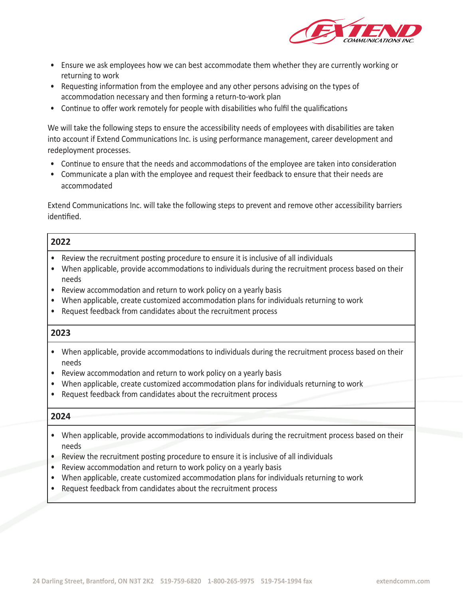

- Ensure we ask employees how we can best accommodate them whether they are currently working or returning to work
- Requesting information from the employee and any other persons advising on the types of accommodation necessary and then forming a return-to-work plan
- Continue to offer work remotely for people with disabilities who fulfil the qualifications

We will take the following steps to ensure the accessibility needs of employees with disabilities are taken into account if Extend Communications Inc. is using performance management, career development and redeployment processes.

- Continue to ensure that the needs and accommodations of the employee are taken into consideration
- Communicate a plan with the employee and request their feedback to ensure that their needs are accommodated

Extend Communications Inc. will take the following steps to prevent and remove other accessibility barriers identified.

## **2022**

- Review the recruitment posting procedure to ensure it is inclusive of all individuals
- When applicable, provide accommodations to individuals during the recruitment process based on their needs
- Review accommodation and return to work policy on a yearly basis
- When applicable, create customized accommodation plans for individuals returning to work
- Request feedback from candidates about the recruitment process

#### **2023**

- When applicable, provide accommodations to individuals during the recruitment process based on their needs
- Review accommodation and return to work policy on a yearly basis
- When applicable, create customized accommodation plans for individuals returning to work
- Request feedback from candidates about the recruitment process

- When applicable, provide accommodations to individuals during the recruitment process based on their needs
- Review the recruitment posting procedure to ensure it is inclusive of all individuals
- Review accommodation and return to work policy on a yearly basis
- When applicable, create customized accommodation plans for individuals returning to work
- Request feedback from candidates about the recruitment process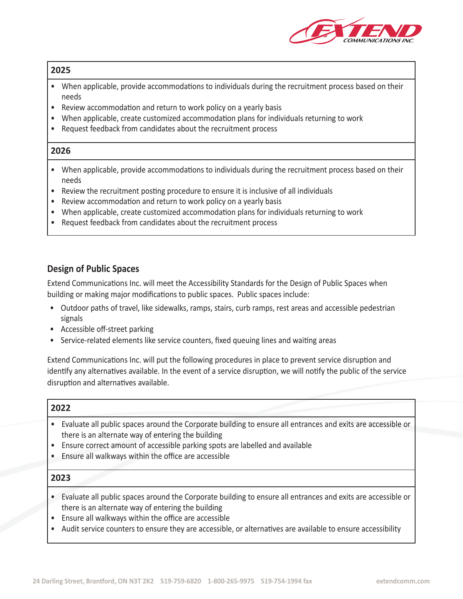

- When applicable, provide accommodations to individuals during the recruitment process based on their needs
- Review accommodation and return to work policy on a yearly basis
- When applicable, create customized accommodation plans for individuals returning to work
- Request feedback from candidates about the recruitment process

## **2026**

- When applicable, provide accommodations to individuals during the recruitment process based on their needs
- Review the recruitment posting procedure to ensure it is inclusive of all individuals
- Review accommodation and return to work policy on a yearly basis
- When applicable, create customized accommodation plans for individuals returning to work
- Request feedback from candidates about the recruitment process

# **Design of Public Spaces**

Extend Communications Inc. will meet the Accessibility Standards for the Design of Public Spaces when building or making major modifications to public spaces. Public spaces include:

- Outdoor paths of travel, like sidewalks, ramps, stairs, curb ramps, rest areas and accessible pedestrian signals
- Accessible off-street parking
- Service-related elements like service counters, fixed queuing lines and waiting areas

Extend Communications Inc. will put the following procedures in place to prevent service disruption and identify any alternatives available. In the event of a service disruption, we will notify the public of the service disruption and alternatives available.

#### **2022**

- Evaluate all public spaces around the Corporate building to ensure all entrances and exits are accessible or there is an alternate way of entering the building
- Ensure correct amount of accessible parking spots are labelled and available
- Ensure all walkways within the office are accessible

- Evaluate all public spaces around the Corporate building to ensure all entrances and exits are accessible or there is an alternate way of entering the building
- Ensure all walkways within the office are accessible
- Audit service counters to ensure they are accessible, or alternatives are available to ensure accessibility